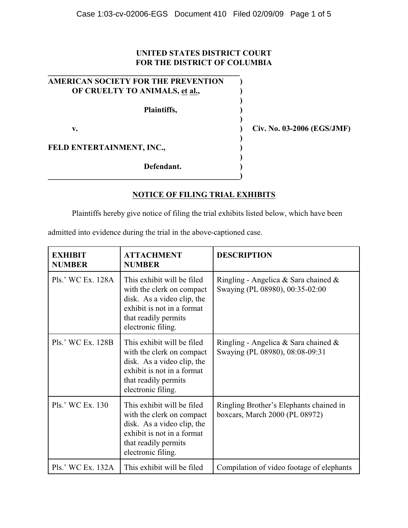## **UNITED STATES DISTRICT COURT FOR THE DISTRICT OF COLUMBIA**

| AMERICAN SOCIETY FOR THE PREVENTION |  |
|-------------------------------------|--|
| OF CRUELTY TO ANIMALS, et al.,      |  |
| Plaintiffs,                         |  |
| v.                                  |  |
| FELD ENTERTAINMENT, INC.,           |  |
| Defendant.                          |  |

**\_\_\_\_\_\_\_\_\_\_\_\_\_\_\_\_\_\_\_\_\_\_\_\_\_\_\_\_\_\_\_\_\_\_\_\_\_\_\_\_\_\_\_\_\_\_\_\_)**

**v. ) Civ. No. 03-2006 (EGS/JMF)**

**NOTICE OF FILING TRIAL EXHIBITS**

Plaintiffs hereby give notice of filing the trial exhibits listed below, which have been

admitted into evidence during the trial in the above-captioned case.

| <b>EXHIBIT</b><br><b>NUMBER</b> | <b>ATTACHMENT</b><br><b>NUMBER</b>                                                                                                                                | <b>DESCRIPTION</b>                                                         |
|---------------------------------|-------------------------------------------------------------------------------------------------------------------------------------------------------------------|----------------------------------------------------------------------------|
| Pls.' WC Ex. 128A               | This exhibit will be filed<br>with the clerk on compact<br>disk. As a video clip, the<br>exhibit is not in a format<br>that readily permits<br>electronic filing. | Ringling - Angelica & Sara chained $\&$<br>Swaying (PL 08980), 00:35-02:00 |
| Pls.' WC Ex. 128B               | This exhibit will be filed<br>with the clerk on compact<br>disk. As a video clip, the<br>exhibit is not in a format<br>that readily permits<br>electronic filing. | Ringling - Angelica & Sara chained &<br>Swaying (PL 08980), 08:08-09:31    |
| Pls.' WC Ex. 130                | This exhibit will be filed<br>with the clerk on compact<br>disk. As a video clip, the<br>exhibit is not in a format<br>that readily permits<br>electronic filing. | Ringling Brother's Elephants chained in<br>boxcars, March 2000 (PL 08972)  |
| Pls.' WC Ex. 132A               | This exhibit will be filed                                                                                                                                        | Compilation of video footage of elephants                                  |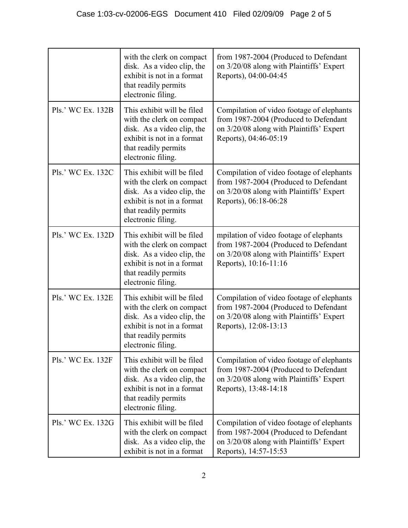|                   | with the clerk on compact<br>disk. As a video clip, the<br>exhibit is not in a format<br>that readily permits<br>electronic filing.                               | from 1987-2004 (Produced to Defendant<br>on 3/20/08 along with Plaintiffs' Expert<br>Reports), 04:00-04:45                                              |
|-------------------|-------------------------------------------------------------------------------------------------------------------------------------------------------------------|---------------------------------------------------------------------------------------------------------------------------------------------------------|
| Pls.' WC Ex. 132B | This exhibit will be filed<br>with the clerk on compact<br>disk. As a video clip, the<br>exhibit is not in a format<br>that readily permits<br>electronic filing. | Compilation of video footage of elephants<br>from 1987-2004 (Produced to Defendant<br>on 3/20/08 along with Plaintiffs' Expert<br>Reports), 04:46-05:19 |
| Pls.' WC Ex. 132C | This exhibit will be filed<br>with the clerk on compact<br>disk. As a video clip, the<br>exhibit is not in a format<br>that readily permits<br>electronic filing. | Compilation of video footage of elephants<br>from 1987-2004 (Produced to Defendant<br>on 3/20/08 along with Plaintiffs' Expert<br>Reports), 06:18-06:28 |
| Pls.' WC Ex. 132D | This exhibit will be filed<br>with the clerk on compact<br>disk. As a video clip, the<br>exhibit is not in a format<br>that readily permits<br>electronic filing. | mpilation of video footage of elephants<br>from 1987-2004 (Produced to Defendant<br>on 3/20/08 along with Plaintiffs' Expert<br>Reports), 10:16-11:16   |
| Pls.' WC Ex. 132E | This exhibit will be filed<br>with the clerk on compact<br>disk. As a video clip, the<br>exhibit is not in a format<br>that readily permits<br>electronic filing. | Compilation of video footage of elephants<br>from 1987-2004 (Produced to Defendant<br>on 3/20/08 along with Plaintiffs' Expert<br>Reports), 12:08-13:13 |
| Pls.' WC Ex. 132F | This exhibit will be filed<br>with the clerk on compact<br>disk. As a video clip, the<br>exhibit is not in a format<br>that readily permits<br>electronic filing. | Compilation of video footage of elephants<br>from 1987-2004 (Produced to Defendant<br>on 3/20/08 along with Plaintiffs' Expert<br>Reports), 13:48-14:18 |
| Pls.' WC Ex. 132G | This exhibit will be filed<br>with the clerk on compact<br>disk. As a video clip, the<br>exhibit is not in a format                                               | Compilation of video footage of elephants<br>from 1987-2004 (Produced to Defendant<br>on 3/20/08 along with Plaintiffs' Expert<br>Reports), 14:57-15:53 |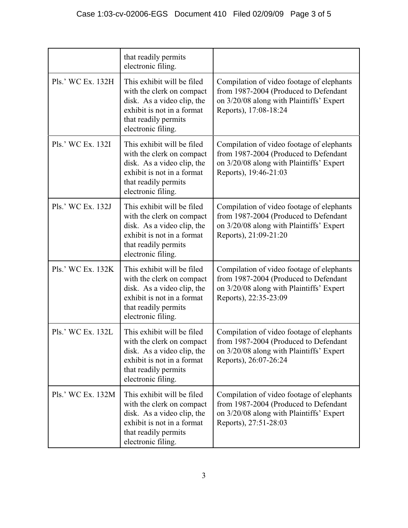|                   | that readily permits<br>electronic filing.                                                                                                                        |                                                                                                                                                         |
|-------------------|-------------------------------------------------------------------------------------------------------------------------------------------------------------------|---------------------------------------------------------------------------------------------------------------------------------------------------------|
| Pls.' WC Ex. 132H | This exhibit will be filed<br>with the clerk on compact<br>disk. As a video clip, the<br>exhibit is not in a format<br>that readily permits<br>electronic filing. | Compilation of video footage of elephants<br>from 1987-2004 (Produced to Defendant<br>on 3/20/08 along with Plaintiffs' Expert<br>Reports), 17:08-18:24 |
| Pls.' WC Ex. 132I | This exhibit will be filed<br>with the clerk on compact<br>disk. As a video clip, the<br>exhibit is not in a format<br>that readily permits<br>electronic filing. | Compilation of video footage of elephants<br>from 1987-2004 (Produced to Defendant<br>on 3/20/08 along with Plaintiffs' Expert<br>Reports), 19:46-21:03 |
| Pls.' WC Ex. 132J | This exhibit will be filed<br>with the clerk on compact<br>disk. As a video clip, the<br>exhibit is not in a format<br>that readily permits<br>electronic filing. | Compilation of video footage of elephants<br>from 1987-2004 (Produced to Defendant<br>on 3/20/08 along with Plaintiffs' Expert<br>Reports), 21:09-21:20 |
| Pls.' WC Ex. 132K | This exhibit will be filed<br>with the clerk on compact<br>disk. As a video clip, the<br>exhibit is not in a format<br>that readily permits<br>electronic filing. | Compilation of video footage of elephants<br>from 1987-2004 (Produced to Defendant<br>on 3/20/08 along with Plaintiffs' Expert<br>Reports), 22:35-23:09 |
| Pls.' WC Ex. 132L | This exhibit will be filed<br>with the clerk on compact<br>disk. As a video clip, the<br>exhibit is not in a format<br>that readily permits<br>electronic filing. | Compilation of video footage of elephants<br>from 1987-2004 (Produced to Defendant<br>on 3/20/08 along with Plaintiffs' Expert<br>Reports), 26:07-26:24 |
| Pls.' WC Ex. 132M | This exhibit will be filed<br>with the clerk on compact<br>disk. As a video clip, the<br>exhibit is not in a format<br>that readily permits<br>electronic filing. | Compilation of video footage of elephants<br>from 1987-2004 (Produced to Defendant<br>on 3/20/08 along with Plaintiffs' Expert<br>Reports), 27:51-28:03 |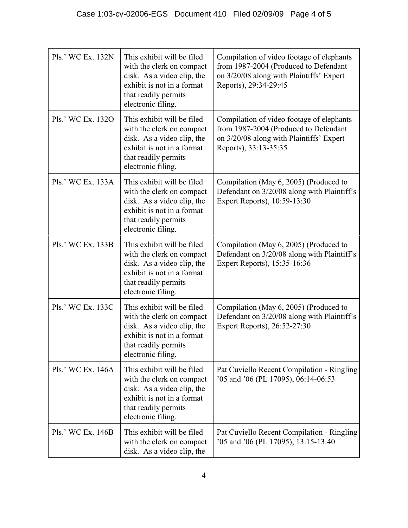| Pls.' WC Ex. 132N | This exhibit will be filed<br>with the clerk on compact<br>disk. As a video clip, the<br>exhibit is not in a format<br>that readily permits<br>electronic filing. | Compilation of video footage of elephants<br>from 1987-2004 (Produced to Defendant<br>on 3/20/08 along with Plaintiffs' Expert<br>Reports), 29:34-29:45 |
|-------------------|-------------------------------------------------------------------------------------------------------------------------------------------------------------------|---------------------------------------------------------------------------------------------------------------------------------------------------------|
| Pls.' WC Ex. 1320 | This exhibit will be filed<br>with the clerk on compact<br>disk. As a video clip, the<br>exhibit is not in a format<br>that readily permits<br>electronic filing. | Compilation of video footage of elephants<br>from 1987-2004 (Produced to Defendant<br>on 3/20/08 along with Plaintiffs' Expert<br>Reports), 33:13-35:35 |
| Pls.' WC Ex. 133A | This exhibit will be filed<br>with the clerk on compact<br>disk. As a video clip, the<br>exhibit is not in a format<br>that readily permits<br>electronic filing. | Compilation (May 6, 2005) (Produced to<br>Defendant on 3/20/08 along with Plaintiff's<br>Expert Reports), 10:59-13:30                                   |
| Pls.' WC Ex. 133B | This exhibit will be filed<br>with the clerk on compact<br>disk. As a video clip, the<br>exhibit is not in a format<br>that readily permits<br>electronic filing. | Compilation (May 6, 2005) (Produced to<br>Defendant on 3/20/08 along with Plaintiff's<br>Expert Reports), 15:35-16:36                                   |
| Pls.' WC Ex. 133C | This exhibit will be filed<br>with the clerk on compact<br>disk. As a video clip, the<br>exhibit is not in a format<br>that readily permits<br>electronic filing. | Compilation (May 6, 2005) (Produced to<br>Defendant on 3/20/08 along with Plaintiff's<br>Expert Reports), 26:52-27:30                                   |
| Pls.' WC Ex. 146A | This exhibit will be filed<br>with the clerk on compact<br>disk. As a video clip, the<br>exhibit is not in a format<br>that readily permits<br>electronic filing. | Pat Cuviello Recent Compilation - Ringling<br>'05 and '06 (PL 17095), 06:14-06:53                                                                       |
| Pls.' WC Ex. 146B | This exhibit will be filed<br>with the clerk on compact<br>disk. As a video clip, the                                                                             | Pat Cuviello Recent Compilation - Ringling<br>'05 and '06 (PL 17095), 13:15-13:40                                                                       |